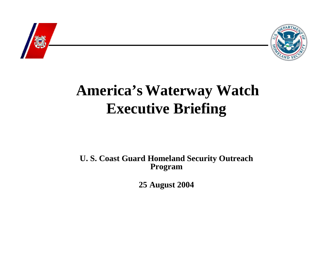



# **America's Waterway Watch Executive Briefing**

**U. S. Coast Guard Homeland Security Outreach Program**

**25 August 2004**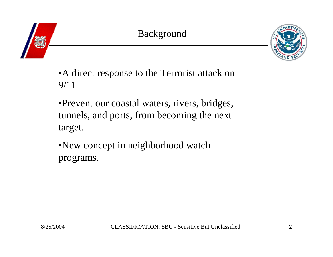



•A direct response to the Terrorist attack on 9/11

•Prevent our coastal waters, rivers, bridges, tunnels, and ports, from becoming the next target.

•New concept in neighborhood watch programs.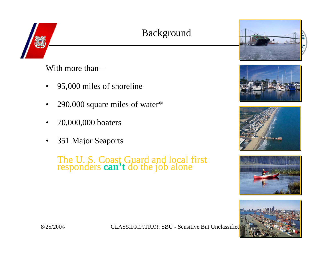# Background

With more than –

- •95,000 miles of shoreline
- •290,000 square miles of water\*
- •70,000,000 boaters
- •351 Major Seaports

The U. S. Coast Guard and local first responders **can't** do the job alone











8/25/2004 CLASSIFICATION: SBU - Sensitive But Unclassified 4National Ocean Service and CLASSIFICATION: SBU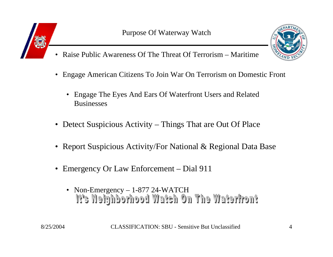



- •Raise Public Awareness Of The Threat Of Terrorism – Maritime
- $\bullet$  Engage American Citizens To Join War On Terrorism on Domestic Front
	- Engage The Eyes And Ears Of Waterfront Users and Related **Businesses**
- Detect Suspicious Activity Things That are Out Of Place
- Report Suspicious Activity/For National & Regional Data Base
- Emergency Or Law Enforcement Dial 911
	- Non-Emergency 1-877 24-WATCH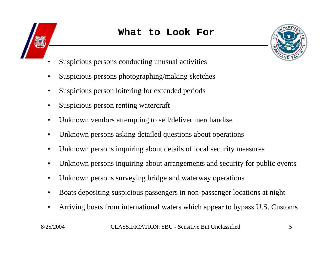



- •Suspicious persons conducting unusual activities
- •Suspicious persons photographing/making sketches
- •Suspicious person loitering for extended periods
- $\bullet$ Suspicious person renting watercraft
- •Unknown vendors attempting to sell/deliver merchandise
- •Unknown persons asking detailed questions about operations
- •Unknown persons inquiring about details of local security measures
- •Unknown persons inquiring about arrangements and security for public events
- •Unknown persons surveying bridge and waterway operations
- •Boats depositing suspicious passengers in non-passenger locations at night
- •Arriving boats from international waters which appear to bypass U.S. Customs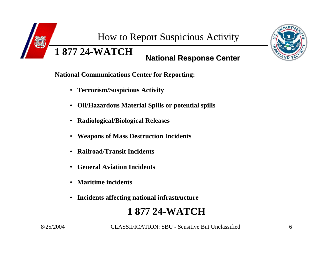How to Report Suspicious Activity

**National Response Center National Response Center 1 877 24-WATCH**

**National Communications Center for Reporting:**

- **Terrorism/Suspicious Activity**
- **Oil/Hazardous Material Spills or potential spills**
- **Radiological/Biological Releases**
- **Weapons of Mass Destruction Incidents**
- $\bullet$ **Railroad/Transit Incidents**
- $\bullet$ **General Aviation Incidents**
- $\bullet$ **Maritime incidents**
- **Incidents affecting national infrastructure**

# **1 877 24-WATCH**



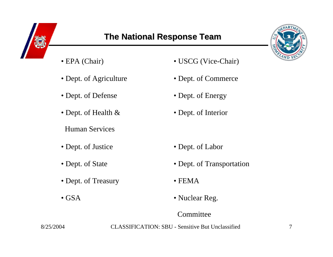

# **The National Response Team**



- EPA (Chair)
- Dept. of Agriculture
- Dept. of Defense
- Dept. of Health & Dept. of Interior
- Human Services
- Dept. of Justice
- Dept. of State
- Dept. of Treasury FEMA
- GSA
- USCG (Vice-Chair)
- Dept. of Commerce
- Dept. of Energy
- 
- Dept. of Labor
- Dept. of Transportation
- 
- Nuclear Reg.

#### Committee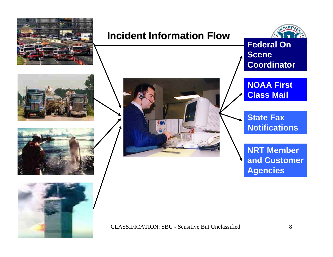

# **Incident Information Flow Incident Information Flow**



**Federal On Scene Coordinator**









**NOAA First Class Mail**

**State Fax Notifications**

**NRT Member and Customer Agencies**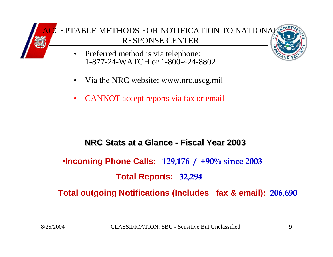

- • Preferred method is via telephone: 1-877-24-WATCH or 1-800-424-8802
- •Via the NRC website: www.nrc.uscg.mil
- •CANNOT accept reports via fax or email

#### **NRC Stats at a Glance NRC Stats at a Glance - Fiscal Year 2003 Fiscal Year 2003**

•**Incoming Phone Calls: 129,176 / +90% since 2003**

### **Total Reports: 32,294**

**Total outgoing Notifications (Includes fax & email): 206,690**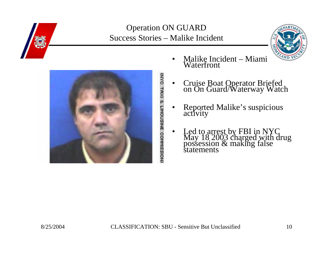

#### Operation ON GUARD Success Stories – Malike Incident





- •Malike Incident – Miami Waterfront
- •Cruise Boat Operator Briefed on On Guard/Waterway Watch
- $\bullet$ Reported Malike's suspicious activity
- $\bullet$ Led to arrest by FBI in NYC<br>May 18 2003 charged with drug<br>possession & making false<br>statements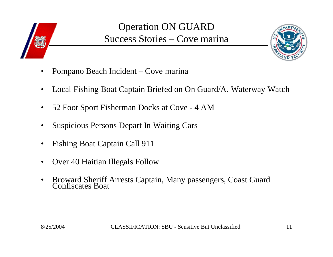

# Operation ON GUARD Success Stories – Cove marina



- $\bullet$ Pompano Beach Incident – Cove marina
- •Local Fishing Boat Captain Briefed on On Guard/A. Waterway Watch
- •52 Foot Sport Fisherman Docks at Cove - 4 AM
- •Suspicious Persons Depart In Waiting Cars
- •Fishing Boat Captain Call 911
- •Over 40 Haitian Illegals Follow
- •Broward Sheriff Arrests Captain, Many passengers, Coast Guard Confiscates Boat